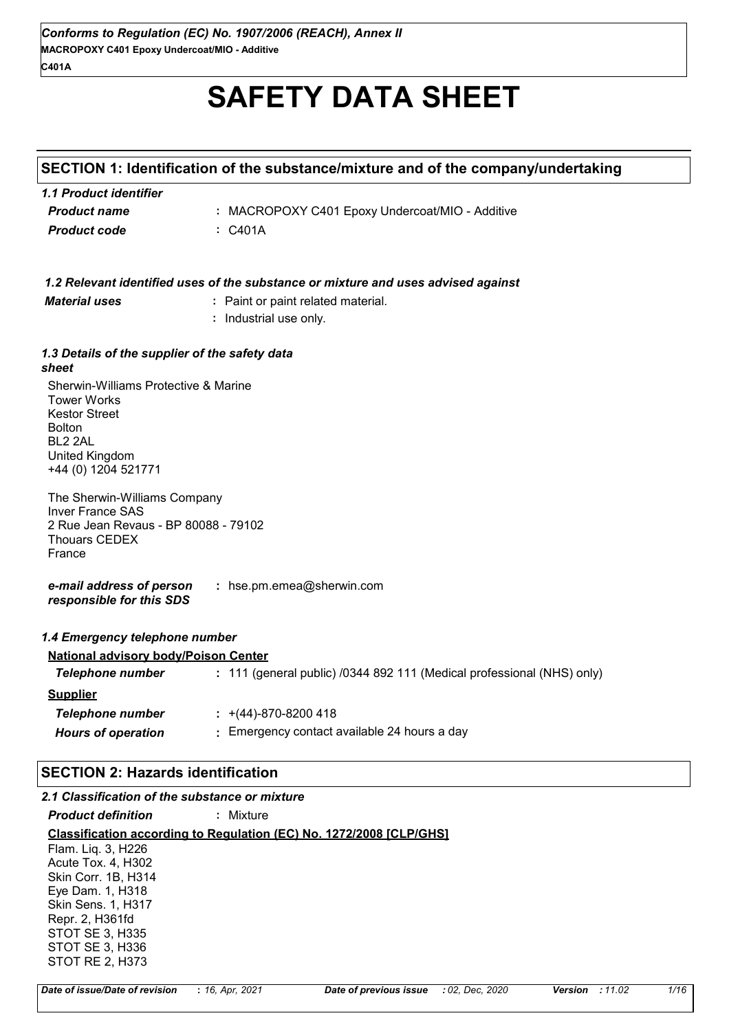# **SAFETY DATA SHEET**

## **SECTION 1: Identification of the substance/mixture and of the company/undertaking**

| 1.1 Product identifier |                                                 |
|------------------------|-------------------------------------------------|
| <b>Product name</b>    | : MACROPOXY C401 Epoxy Undercoat/MIO - Additive |
| Product code           | : C401A                                         |

|                                                                                                                                                         | 1.2 Relevant identified uses of the substance or mixture and uses advised against |
|---------------------------------------------------------------------------------------------------------------------------------------------------------|-----------------------------------------------------------------------------------|
| <b>Material uses</b>                                                                                                                                    | : Paint or paint related material.                                                |
|                                                                                                                                                         | : Industrial use only.                                                            |
| 1.3 Details of the supplier of the safety data                                                                                                          |                                                                                   |
| sheet                                                                                                                                                   |                                                                                   |
| Sherwin-Williams Protective & Marine<br><b>Tower Works</b><br><b>Kestor Street</b><br><b>Bolton</b><br>BL2 2AL<br>United Kingdom<br>+44 (0) 1204 521771 |                                                                                   |
| The Sherwin-Williams Company<br><b>Inver France SAS</b><br>2 Rue Jean Revaus - BP 80088 - 79102<br><b>Thouars CEDEX</b><br>France                       |                                                                                   |
| e-mail address of person<br>responsible for this SDS                                                                                                    | : hse.pm.emea@sherwin.com                                                         |
| 1.4 Emergency telephone number                                                                                                                          |                                                                                   |
| <b>National advisory body/Poison Center</b>                                                                                                             |                                                                                   |
| <b>Telephone number</b>                                                                                                                                 | : 111 (general public) /0344 892 111 (Medical professional (NHS) only)            |
| <b>Supplier</b>                                                                                                                                         |                                                                                   |
| <b>Telephone number</b>                                                                                                                                 | $\div$ +(44)-870-8200 418                                                         |
| <b>Hours of operation</b>                                                                                                                               | : Emergency contact available 24 hours a day                                      |
| <b>SECTION 2: Hazards identification</b>                                                                                                                |                                                                                   |
| 2.1 Classification of the substance or mixture                                                                                                          |                                                                                   |
| <b>Product definition</b>                                                                                                                               | : Mixture                                                                         |

**Classification according to Regulation (EC) No. 1272/2008 [CLP/GHS]** Flam. Liq. 3, H226 Acute Tox. 4, H302 Skin Corr. 1B, H314 Eye Dam. 1, H318 Skin Sens. 1, H317 Repr. 2, H361fd STOT SE 3, H335 STOT SE 3, H336

STOT RE 2, H373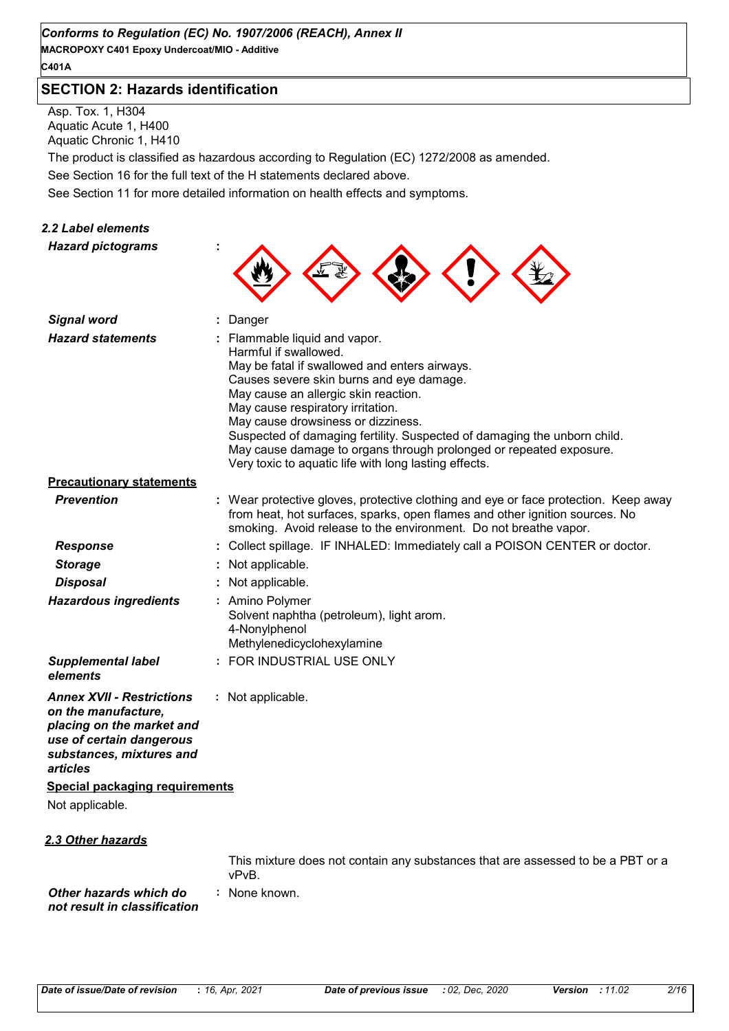**MACROPOXY C401 Epoxy Undercoat/MIO - Additive C401A**

#### **SECTION 2: Hazards identification**

Asp. Tox. 1, H304 Aquatic Acute 1, H400 Aquatic Chronic 1, H410

The product is classified as hazardous according to Regulation (EC) 1272/2008 as amended.

See Section 16 for the full text of the H statements declared above.

See Section 11 for more detailed information on health effects and symptoms.

#### *2.2 Label elements*

*Hazard pictograms* **:**

| <b>Signal word</b>                                                                                                                                       | Danger                                                                                                                                                                                                                                                                                                                                                                                                                                                                            |
|----------------------------------------------------------------------------------------------------------------------------------------------------------|-----------------------------------------------------------------------------------------------------------------------------------------------------------------------------------------------------------------------------------------------------------------------------------------------------------------------------------------------------------------------------------------------------------------------------------------------------------------------------------|
| <b>Hazard statements</b>                                                                                                                                 | : Flammable liquid and vapor.<br>Harmful if swallowed.<br>May be fatal if swallowed and enters airways.<br>Causes severe skin burns and eye damage.<br>May cause an allergic skin reaction.<br>May cause respiratory irritation.<br>May cause drowsiness or dizziness.<br>Suspected of damaging fertility. Suspected of damaging the unborn child.<br>May cause damage to organs through prolonged or repeated exposure.<br>Very toxic to aquatic life with long lasting effects. |
| <b>Precautionary statements</b>                                                                                                                          |                                                                                                                                                                                                                                                                                                                                                                                                                                                                                   |
| <b>Prevention</b>                                                                                                                                        | : Wear protective gloves, protective clothing and eye or face protection. Keep away<br>from heat, hot surfaces, sparks, open flames and other ignition sources. No<br>smoking. Avoid release to the environment. Do not breathe vapor.                                                                                                                                                                                                                                            |
| <b>Response</b>                                                                                                                                          | Collect spillage. IF INHALED: Immediately call a POISON CENTER or doctor.                                                                                                                                                                                                                                                                                                                                                                                                         |
| <b>Storage</b>                                                                                                                                           | Not applicable.                                                                                                                                                                                                                                                                                                                                                                                                                                                                   |
| <b>Disposal</b>                                                                                                                                          | Not applicable.                                                                                                                                                                                                                                                                                                                                                                                                                                                                   |
| <b>Hazardous ingredients</b>                                                                                                                             | : Amino Polymer<br>Solvent naphtha (petroleum), light arom.<br>4-Nonylphenol<br>Methylenedicyclohexylamine                                                                                                                                                                                                                                                                                                                                                                        |
| <b>Supplemental label</b><br>elements                                                                                                                    | : FOR INDUSTRIAL USE ONLY                                                                                                                                                                                                                                                                                                                                                                                                                                                         |
| <b>Annex XVII - Restrictions</b><br>on the manufacture,<br>placing on the market and<br>use of certain dangerous<br>substances, mixtures and<br>articles | : Not applicable.                                                                                                                                                                                                                                                                                                                                                                                                                                                                 |
| <b>Special packaging requirements</b>                                                                                                                    |                                                                                                                                                                                                                                                                                                                                                                                                                                                                                   |
| Not applicable.                                                                                                                                          |                                                                                                                                                                                                                                                                                                                                                                                                                                                                                   |
| 2.3 Other hazards                                                                                                                                        |                                                                                                                                                                                                                                                                                                                                                                                                                                                                                   |
|                                                                                                                                                          | This mixture does not contain any substances that are assessed to be a PBT or a<br>vPvB.                                                                                                                                                                                                                                                                                                                                                                                          |
| Other hazards which do<br>not result in classification                                                                                                   | : None known.                                                                                                                                                                                                                                                                                                                                                                                                                                                                     |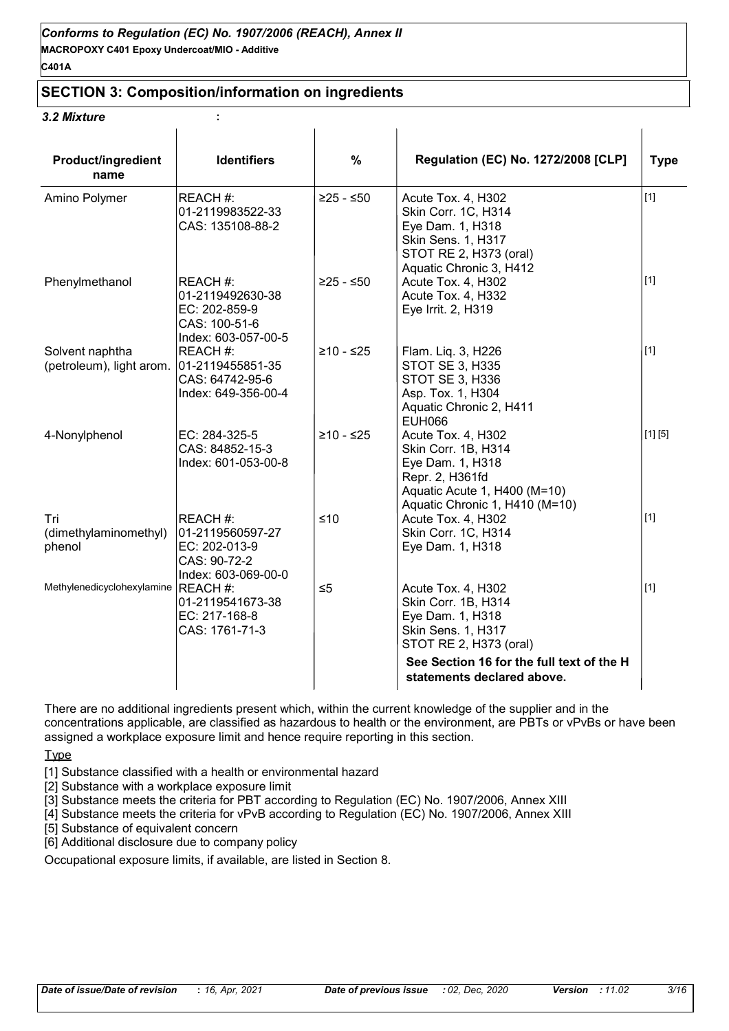#### **SECTION 3: Composition/information on ingredients**

#### *3.2 Mixture* **:**

| <b>Product/ingredient</b><br>name           | <b>Identifiers</b>                                                                    | $\%$        | Regulation (EC) No. 1272/2008 [CLP]                                                                                                                                                      | <b>Type</b> |
|---------------------------------------------|---------------------------------------------------------------------------------------|-------------|------------------------------------------------------------------------------------------------------------------------------------------------------------------------------------------|-------------|
| Amino Polymer                               | REACH#:<br>01-2119983522-33<br>CAS: 135108-88-2                                       | $≥25 - ≤50$ | Acute Tox. 4, H302<br>Skin Corr. 1C, H314<br>Eye Dam. 1, H318<br>Skin Sens. 1, H317<br>STOT RE 2, H373 (oral)<br>Aquatic Chronic 3, H412                                                 | $[1]$       |
| Phenylmethanol                              | REACH #:<br>01-2119492630-38<br>EC: 202-859-9<br>CAS: 100-51-6<br>Index: 603-057-00-5 | $≥25 - ≤50$ | Acute Tox. 4, H302<br>Acute Tox. 4, H332<br>Eye Irrit. 2, H319                                                                                                                           | $[1]$       |
| Solvent naphtha<br>(petroleum), light arom. | REACH#:<br>01-2119455851-35<br>CAS: 64742-95-6<br>Index: 649-356-00-4                 | $≥10 - ≤25$ | Flam. Liq. 3, H226<br><b>STOT SE 3, H335</b><br>STOT SE 3, H336<br>Asp. Tox. 1, H304<br>Aquatic Chronic 2, H411<br><b>EUH066</b>                                                         | [1]         |
| 4-Nonylphenol                               | EC: 284-325-5<br>CAS: 84852-15-3<br>Index: 601-053-00-8                               | ≥10 - ≤25   | Acute Tox. 4, H302<br>Skin Corr. 1B, H314<br>Eye Dam. 1, H318<br>Repr. 2, H361fd<br>Aquatic Acute 1, H400 (M=10)<br>Aquatic Chronic 1, H410 (M=10)                                       | [1] [5]     |
| Tri<br>(dimethylaminomethyl)<br>phenol      | REACH #:<br>01-2119560597-27<br>EC: 202-013-9<br>CAS: 90-72-2<br>Index: 603-069-00-0  | $≤10$       | Acute Tox. 4, H302<br>Skin Corr. 1C, H314<br>Eye Dam. 1, H318                                                                                                                            | $[1]$       |
| Methylenedicyclohexylamine REACH #:         | 01-2119541673-38<br>EC: 217-168-8<br>CAS: 1761-71-3                                   | $\leq 5$    | Acute Tox. 4, H302<br>Skin Corr. 1B, H314<br>Eye Dam. 1, H318<br>Skin Sens. 1, H317<br>STOT RE 2, H373 (oral)<br>See Section 16 for the full text of the H<br>statements declared above. | $[1]$       |

There are no additional ingredients present which, within the current knowledge of the supplier and in the concentrations applicable, are classified as hazardous to health or the environment, are PBTs or vPvBs or have been assigned a workplace exposure limit and hence require reporting in this section.

**Type** 

[1] Substance classified with a health or environmental hazard

[2] Substance with a workplace exposure limit

[3] Substance meets the criteria for PBT according to Regulation (EC) No. 1907/2006, Annex XIII

[4] Substance meets the criteria for vPvB according to Regulation (EC) No. 1907/2006, Annex XIII

[5] Substance of equivalent concern

[6] Additional disclosure due to company policy

Occupational exposure limits, if available, are listed in Section 8.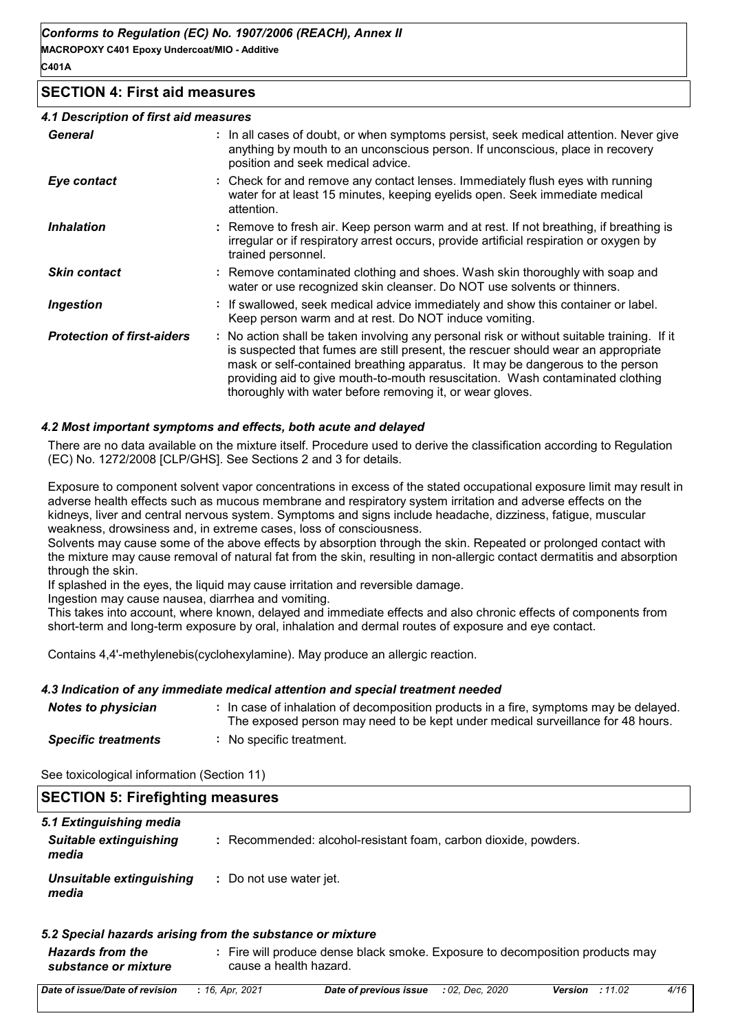#### **SECTION 4: First aid measures**

#### *4.1 Description of first aid measures*

| <b>General</b>                    | : In all cases of doubt, or when symptoms persist, seek medical attention. Never give<br>anything by mouth to an unconscious person. If unconscious, place in recovery<br>position and seek medical advice.                                                                                                                                                                                                     |
|-----------------------------------|-----------------------------------------------------------------------------------------------------------------------------------------------------------------------------------------------------------------------------------------------------------------------------------------------------------------------------------------------------------------------------------------------------------------|
| Eye contact                       | : Check for and remove any contact lenses. Immediately flush eyes with running<br>water for at least 15 minutes, keeping eyelids open. Seek immediate medical<br>attention.                                                                                                                                                                                                                                     |
| <b>Inhalation</b>                 | : Remove to fresh air. Keep person warm and at rest. If not breathing, if breathing is<br>irregular or if respiratory arrest occurs, provide artificial respiration or oxygen by<br>trained personnel.                                                                                                                                                                                                          |
| <b>Skin contact</b>               | : Remove contaminated clothing and shoes. Wash skin thoroughly with soap and<br>water or use recognized skin cleanser. Do NOT use solvents or thinners.                                                                                                                                                                                                                                                         |
| <b>Ingestion</b>                  | : If swallowed, seek medical advice immediately and show this container or label.<br>Keep person warm and at rest. Do NOT induce vomiting.                                                                                                                                                                                                                                                                      |
| <b>Protection of first-aiders</b> | : No action shall be taken involving any personal risk or without suitable training. If it<br>is suspected that fumes are still present, the rescuer should wear an appropriate<br>mask or self-contained breathing apparatus. It may be dangerous to the person<br>providing aid to give mouth-to-mouth resuscitation. Wash contaminated clothing<br>thoroughly with water before removing it, or wear gloves. |

#### *4.2 Most important symptoms and effects, both acute and delayed*

There are no data available on the mixture itself. Procedure used to derive the classification according to Regulation (EC) No. 1272/2008 [CLP/GHS]. See Sections 2 and 3 for details.

Exposure to component solvent vapor concentrations in excess of the stated occupational exposure limit may result in adverse health effects such as mucous membrane and respiratory system irritation and adverse effects on the kidneys, liver and central nervous system. Symptoms and signs include headache, dizziness, fatigue, muscular weakness, drowsiness and, in extreme cases, loss of consciousness.

Solvents may cause some of the above effects by absorption through the skin. Repeated or prolonged contact with the mixture may cause removal of natural fat from the skin, resulting in non-allergic contact dermatitis and absorption through the skin.

If splashed in the eyes, the liquid may cause irritation and reversible damage.

Ingestion may cause nausea, diarrhea and vomiting.

This takes into account, where known, delayed and immediate effects and also chronic effects of components from short-term and long-term exposure by oral, inhalation and dermal routes of exposure and eye contact.

Contains 4,4'-methylenebis(cyclohexylamine). May produce an allergic reaction.

#### *4.3 Indication of any immediate medical attention and special treatment needed*

| Notes to physician         | : In case of inhalation of decomposition products in a fire, symptoms may be delayed.<br>The exposed person may need to be kept under medical surveillance for 48 hours. |
|----------------------------|--------------------------------------------------------------------------------------------------------------------------------------------------------------------------|
| <b>Specific treatments</b> | : No specific treatment.                                                                                                                                                 |

| opecnic a cauncino | <b>HO SPOCING ACQUIT</b> |
|--------------------|--------------------------|
|                    |                          |

| <b>PLOTION J. FIFTING INCORPORT</b>    |                                                                 |  |
|----------------------------------------|-----------------------------------------------------------------|--|
| 5.1 Extinguishing media                |                                                                 |  |
| <b>Suitable extinguishing</b><br>media | : Recommended: alcohol-resistant foam, carbon dioxide, powders. |  |
| Unsuitable extinguishing<br>media      | : Do not use water jet.                                         |  |
|                                        |                                                                 |  |

#### *5.2 Special hazards arising from the substance or mixture*

| <b>Hazards from the</b> | Fire will produce dense black smoke. Exposure to decomposition products may |
|-------------------------|-----------------------------------------------------------------------------|
| substance or mixture    | cause a health hazard.                                                      |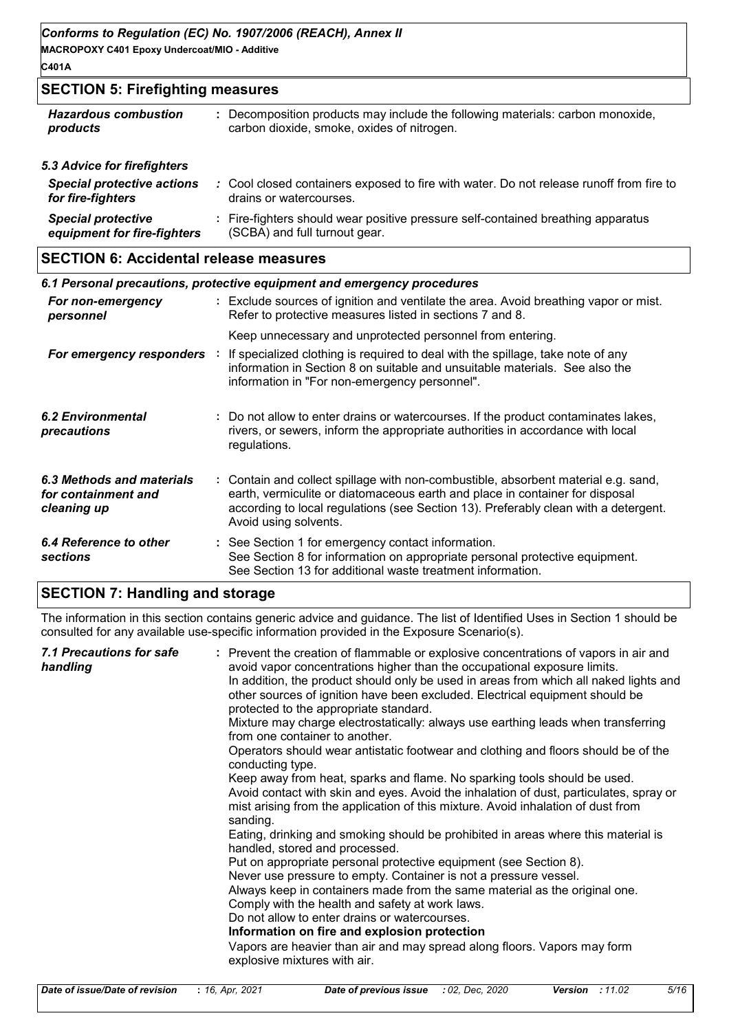**MACROPOXY C401 Epoxy Undercoat/MIO - Additive C401A**

#### **SECTION 5: Firefighting measures**

| <b>Hazardous combustion</b><br>products                | : Decomposition products may include the following materials: carbon monoxide,<br>carbon dioxide, smoke, oxides of nitrogen. |
|--------------------------------------------------------|------------------------------------------------------------------------------------------------------------------------------|
| 5.3 Advice for firefighters                            |                                                                                                                              |
| <b>Special protective actions</b><br>for fire-fighters | : Cool closed containers exposed to fire with water. Do not release runoff from fire to<br>drains or watercourses.           |
| <b>Special protective</b>                              | Fire-fighters should wear positive pressure self-contained breathing apparatus                                               |

(SCBA) and full turnout gear.

#### **SECTION 6: Accidental release measures**

*equipment for fire-fighters*

| 6.1 Personal precautions, protective equipment and emergency procedures |  |                                                                                                                                                                                                                                                                                    |  |
|-------------------------------------------------------------------------|--|------------------------------------------------------------------------------------------------------------------------------------------------------------------------------------------------------------------------------------------------------------------------------------|--|
| For non-emergency<br>personnel                                          |  | : Exclude sources of ignition and ventilate the area. Avoid breathing vapor or mist.<br>Refer to protective measures listed in sections 7 and 8.                                                                                                                                   |  |
| For emergency responders :                                              |  | Keep unnecessary and unprotected personnel from entering.<br>If specialized clothing is required to deal with the spillage, take note of any<br>information in Section 8 on suitable and unsuitable materials. See also the<br>information in "For non-emergency personnel".       |  |
| 6.2 Environmental<br>precautions                                        |  | : Do not allow to enter drains or watercourses. If the product contaminates lakes,<br>rivers, or sewers, inform the appropriate authorities in accordance with local<br>regulations.                                                                                               |  |
| 6.3 Methods and materials<br>for containment and<br>cleaning up         |  | : Contain and collect spillage with non-combustible, absorbent material e.g. sand,<br>earth, vermiculite or diatomaceous earth and place in container for disposal<br>according to local regulations (see Section 13). Preferably clean with a detergent.<br>Avoid using solvents. |  |
| 6.4 Reference to other<br>sections                                      |  | : See Section 1 for emergency contact information.<br>See Section 8 for information on appropriate personal protective equipment.<br>See Section 13 for additional waste treatment information.                                                                                    |  |

#### **SECTION 7: Handling and storage**

The information in this section contains generic advice and guidance. The list of Identified Uses in Section 1 should be consulted for any available use-specific information provided in the Exposure Scenario(s).

| 7.1 Precautions for safe<br>handling | : Prevent the creation of flammable or explosive concentrations of vapors in air and<br>avoid vapor concentrations higher than the occupational exposure limits.<br>In addition, the product should only be used in areas from which all naked lights and<br>other sources of ignition have been excluded. Electrical equipment should be<br>protected to the appropriate standard.<br>Mixture may charge electrostatically: always use earthing leads when transferring<br>from one container to another.<br>Operators should wear antistatic footwear and clothing and floors should be of the<br>conducting type.<br>Keep away from heat, sparks and flame. No sparking tools should be used.<br>Avoid contact with skin and eyes. Avoid the inhalation of dust, particulates, spray or<br>mist arising from the application of this mixture. Avoid inhalation of dust from<br>sanding.<br>Eating, drinking and smoking should be prohibited in areas where this material is<br>handled, stored and processed.<br>Put on appropriate personal protective equipment (see Section 8).<br>Never use pressure to empty. Container is not a pressure vessel.<br>Always keep in containers made from the same material as the original one.<br>Comply with the health and safety at work laws.<br>Do not allow to enter drains or watercourses.<br>Information on fire and explosion protection<br>Vapors are heavier than air and may spread along floors. Vapors may form<br>explosive mixtures with air. |
|--------------------------------------|----------------------------------------------------------------------------------------------------------------------------------------------------------------------------------------------------------------------------------------------------------------------------------------------------------------------------------------------------------------------------------------------------------------------------------------------------------------------------------------------------------------------------------------------------------------------------------------------------------------------------------------------------------------------------------------------------------------------------------------------------------------------------------------------------------------------------------------------------------------------------------------------------------------------------------------------------------------------------------------------------------------------------------------------------------------------------------------------------------------------------------------------------------------------------------------------------------------------------------------------------------------------------------------------------------------------------------------------------------------------------------------------------------------------------------------------------------------------------------------------------------|
|--------------------------------------|----------------------------------------------------------------------------------------------------------------------------------------------------------------------------------------------------------------------------------------------------------------------------------------------------------------------------------------------------------------------------------------------------------------------------------------------------------------------------------------------------------------------------------------------------------------------------------------------------------------------------------------------------------------------------------------------------------------------------------------------------------------------------------------------------------------------------------------------------------------------------------------------------------------------------------------------------------------------------------------------------------------------------------------------------------------------------------------------------------------------------------------------------------------------------------------------------------------------------------------------------------------------------------------------------------------------------------------------------------------------------------------------------------------------------------------------------------------------------------------------------------|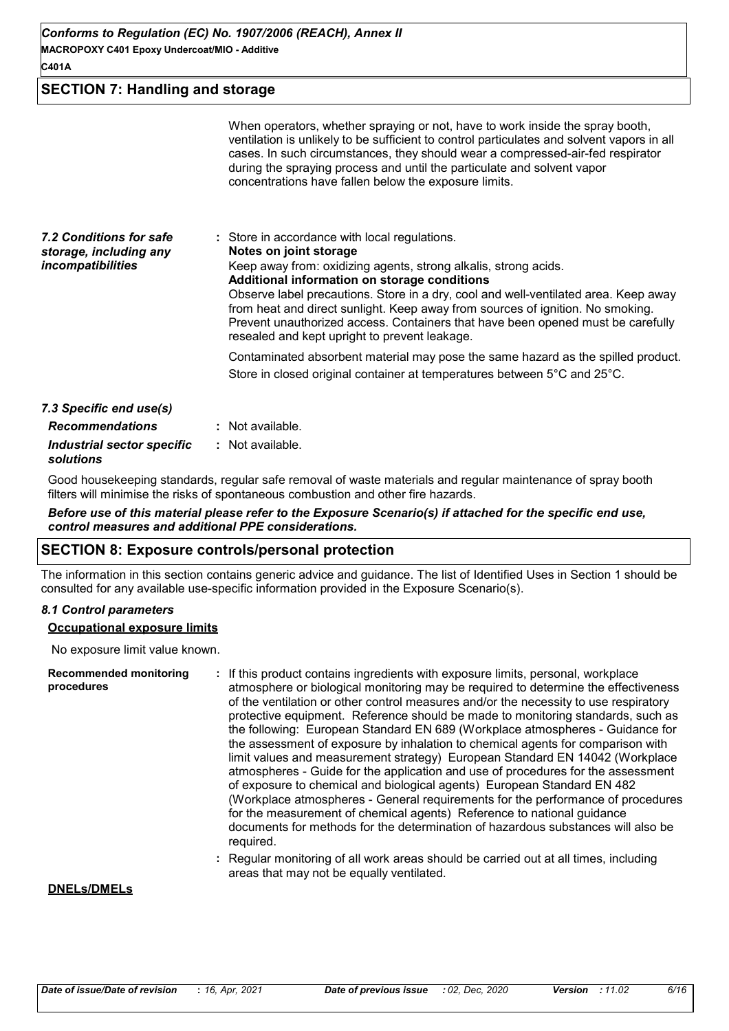#### **SECTION 7: Handling and storage**

|                                                                               | When operators, whether spraying or not, have to work inside the spray booth,<br>ventilation is unlikely to be sufficient to control particulates and solvent vapors in all<br>cases. In such circumstances, they should wear a compressed-air-fed respirator<br>during the spraying process and until the particulate and solvent vapor<br>concentrations have fallen below the exposure limits.                                                                                                       |
|-------------------------------------------------------------------------------|---------------------------------------------------------------------------------------------------------------------------------------------------------------------------------------------------------------------------------------------------------------------------------------------------------------------------------------------------------------------------------------------------------------------------------------------------------------------------------------------------------|
| 7.2 Conditions for safe<br>storage, including any<br><i>incompatibilities</i> | : Store in accordance with local regulations.<br>Notes on joint storage<br>Keep away from: oxidizing agents, strong alkalis, strong acids.<br>Additional information on storage conditions<br>Observe label precautions. Store in a dry, cool and well-ventilated area. Keep away<br>from heat and direct sunlight. Keep away from sources of ignition. No smoking.<br>Prevent unauthorized access. Containers that have been opened must be carefully<br>resealed and kept upright to prevent leakage. |
|                                                                               | Contaminated absorbent material may pose the same hazard as the spilled product.<br>Store in closed original container at temperatures between 5°C and 25°C.                                                                                                                                                                                                                                                                                                                                            |
| 7.3 Specific end use(s)                                                       |                                                                                                                                                                                                                                                                                                                                                                                                                                                                                                         |
| <b>Recommendations</b>                                                        | : Not available.                                                                                                                                                                                                                                                                                                                                                                                                                                                                                        |
| Industrial sector specific<br>solutions                                       | : Not available.                                                                                                                                                                                                                                                                                                                                                                                                                                                                                        |

Good housekeeping standards, regular safe removal of waste materials and regular maintenance of spray booth filters will minimise the risks of spontaneous combustion and other fire hazards.

*Before use of this material please refer to the Exposure Scenario(s) if attached for the specific end use, control measures and additional PPE considerations.*

#### **SECTION 8: Exposure controls/personal protection**

The information in this section contains generic advice and guidance. The list of Identified Uses in Section 1 should be consulted for any available use-specific information provided in the Exposure Scenario(s).

#### *8.1 Control parameters*

#### **Occupational exposure limits**

No exposure limit value known.

| <b>Recommended monitoring</b><br>procedures | : If this product contains ingredients with exposure limits, personal, workplace<br>atmosphere or biological monitoring may be required to determine the effectiveness<br>of the ventilation or other control measures and/or the necessity to use respiratory<br>protective equipment. Reference should be made to monitoring standards, such as<br>the following: European Standard EN 689 (Workplace atmospheres - Guidance for<br>the assessment of exposure by inhalation to chemical agents for comparison with<br>limit values and measurement strategy) European Standard EN 14042 (Workplace<br>atmospheres - Guide for the application and use of procedures for the assessment<br>of exposure to chemical and biological agents) European Standard EN 482<br>(Workplace atmospheres - General requirements for the performance of procedures<br>for the measurement of chemical agents) Reference to national guidance<br>documents for methods for the determination of hazardous substances will also be<br>required. |
|---------------------------------------------|------------------------------------------------------------------------------------------------------------------------------------------------------------------------------------------------------------------------------------------------------------------------------------------------------------------------------------------------------------------------------------------------------------------------------------------------------------------------------------------------------------------------------------------------------------------------------------------------------------------------------------------------------------------------------------------------------------------------------------------------------------------------------------------------------------------------------------------------------------------------------------------------------------------------------------------------------------------------------------------------------------------------------------|
|                                             | : Regular monitoring of all work areas should be carried out at all times, including<br>areas that may not be equally ventilated.                                                                                                                                                                                                                                                                                                                                                                                                                                                                                                                                                                                                                                                                                                                                                                                                                                                                                                  |

#### **DNELs/DMELs**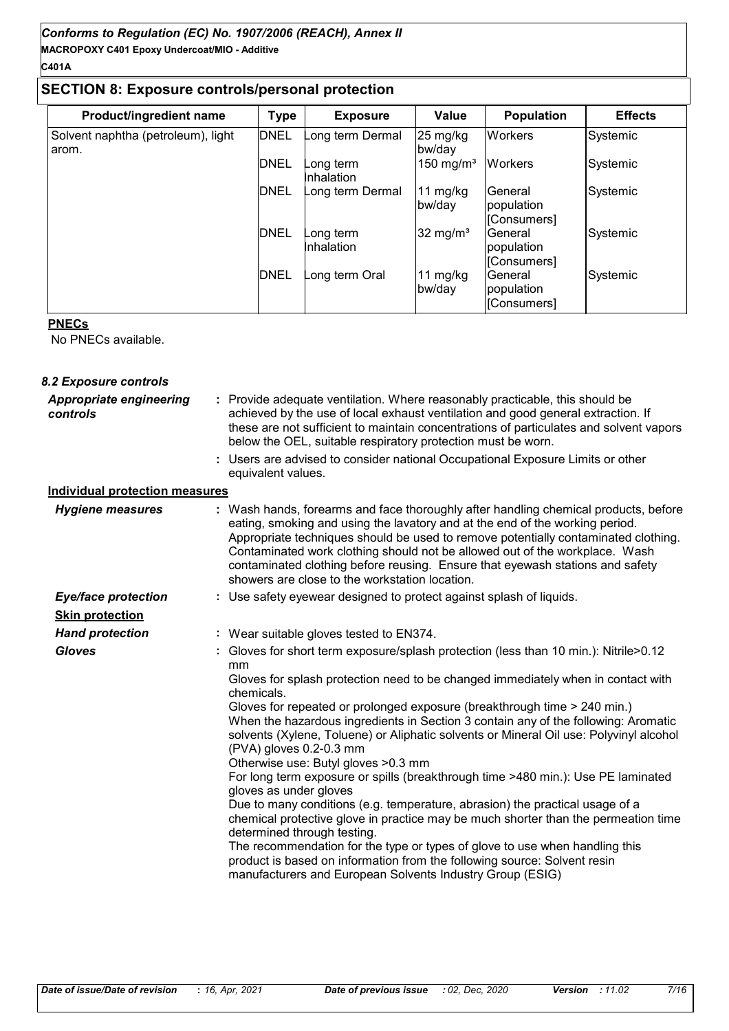#### **C401A**

#### **SECTION 8: Exposure controls/personal protection**

| Product/ingredient name                     | <b>Type</b> | <b>Exposure</b>         | Value                 | <b>Population</b>                    | <b>Effects</b> |
|---------------------------------------------|-------------|-------------------------|-----------------------|--------------------------------------|----------------|
| Solvent naphtha (petroleum), light<br>arom. | <b>DNEL</b> | ong term Dermal         | 25 mg/kg<br>bw/day    | <b>Workers</b>                       | Systemic       |
|                                             | DNEL        | ong termـ<br>Inhalation | 150 mg/m <sup>3</sup> | <b>Workers</b>                       | Systemic       |
|                                             | <b>DNEL</b> | Long term Dermal        | 11 mg/kg<br>bw/day    | General<br>population<br>[Consumers] | Systemic       |
|                                             | <b>DNEL</b> | ong term<br>Inhalation  | 32 mg/m <sup>3</sup>  | General<br>population<br>[Consumers] | Systemic       |
|                                             | <b>DNEL</b> | ong term Oral           | 11 mg/kg<br>bw/day    | General<br>population<br>[Consumers] | Systemic       |

#### **PNECs**

No PNECs available.

#### Use safety eyewear designed to protect against splash of liquids. *Gloves* **:** Provide adequate ventilation. Where reasonably practicable, this should be **:** achieved by the use of local exhaust ventilation and good general extraction. If these are not sufficient to maintain concentrations of particulates and solvent vapors below the OEL, suitable respiratory protection must be worn. *Hand protection Eye/face protection* **: Skin protection** *Appropriate engineering controls* Wash hands, forearms and face thoroughly after handling chemical products, before eating, smoking and using the lavatory and at the end of the working period. Appropriate techniques should be used to remove potentially contaminated clothing. Contaminated work clothing should not be allowed out of the workplace. Wash contaminated clothing before reusing. Ensure that eyewash stations and safety showers are close to the workstation location. *8.2 Exposure controls Hygiene measures* **: Individual protection measures** Users are advised to consider national Occupational Exposure Limits or other **:** equivalent values. **:** Wear suitable gloves tested to EN374. Gloves for short term exposure/splash protection (less than 10 min.): Nitrile>0.12 mm Gloves for splash protection need to be changed immediately when in contact with chemicals. Gloves for repeated or prolonged exposure (breakthrough time > 240 min.) When the hazardous ingredients in Section 3 contain any of the following: Aromatic solvents (Xylene, Toluene) or Aliphatic solvents or Mineral Oil use: Polyvinyl alcohol (PVA) gloves 0.2-0.3 mm Otherwise use: Butyl gloves >0.3 mm For long term exposure or spills (breakthrough time >480 min.): Use PE laminated gloves as under gloves Due to many conditions (e.g. temperature, abrasion) the practical usage of a chemical protective glove in practice may be much shorter than the permeation time determined through testing. The recommendation for the type or types of glove to use when handling this product is based on information from the following source: Solvent resin manufacturers and European Solvents Industry Group (ESIG)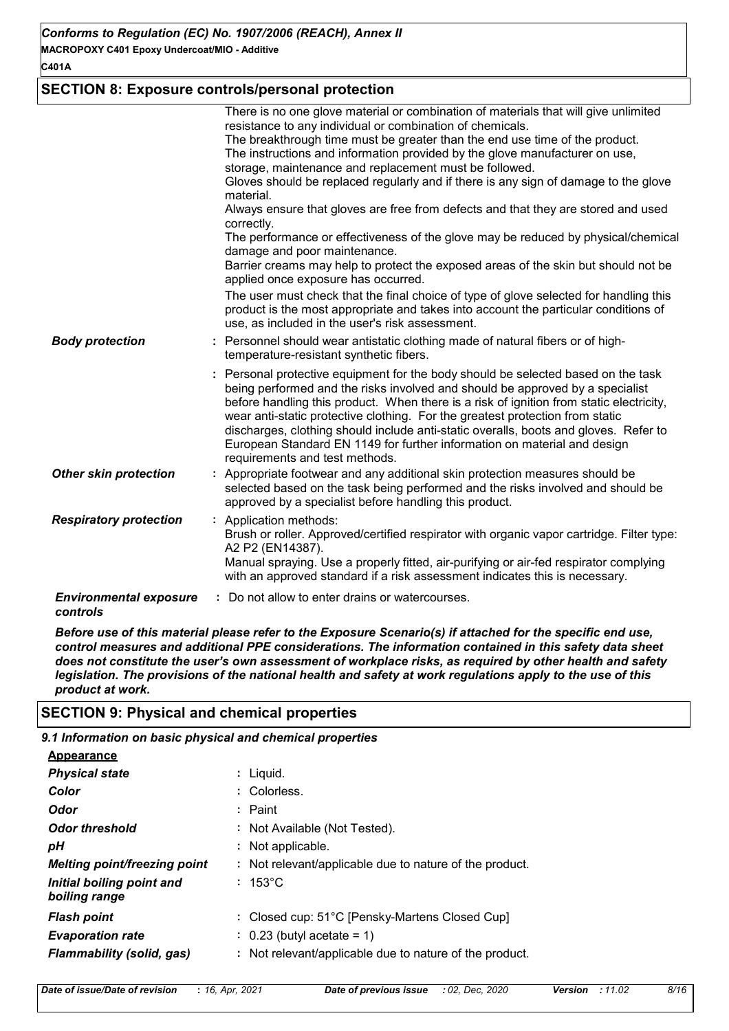**MACROPOXY C401 Epoxy Undercoat/MIO - Additive**

**C401A**

#### **SECTION 8: Exposure controls/personal protection**

|                                           | There is no one glove material or combination of materials that will give unlimited<br>resistance to any individual or combination of chemicals.<br>The breakthrough time must be greater than the end use time of the product.<br>The instructions and information provided by the glove manufacturer on use,<br>storage, maintenance and replacement must be followed.<br>Gloves should be replaced regularly and if there is any sign of damage to the glove<br>material.<br>Always ensure that gloves are free from defects and that they are stored and used<br>correctly.<br>The performance or effectiveness of the glove may be reduced by physical/chemical<br>damage and poor maintenance.<br>Barrier creams may help to protect the exposed areas of the skin but should not be<br>applied once exposure has occurred.<br>The user must check that the final choice of type of glove selected for handling this<br>product is the most appropriate and takes into account the particular conditions of<br>use, as included in the user's risk assessment. |
|-------------------------------------------|----------------------------------------------------------------------------------------------------------------------------------------------------------------------------------------------------------------------------------------------------------------------------------------------------------------------------------------------------------------------------------------------------------------------------------------------------------------------------------------------------------------------------------------------------------------------------------------------------------------------------------------------------------------------------------------------------------------------------------------------------------------------------------------------------------------------------------------------------------------------------------------------------------------------------------------------------------------------------------------------------------------------------------------------------------------------|
| <b>Body protection</b>                    | : Personnel should wear antistatic clothing made of natural fibers or of high-<br>temperature-resistant synthetic fibers.                                                                                                                                                                                                                                                                                                                                                                                                                                                                                                                                                                                                                                                                                                                                                                                                                                                                                                                                            |
|                                           | : Personal protective equipment for the body should be selected based on the task<br>being performed and the risks involved and should be approved by a specialist<br>before handling this product. When there is a risk of ignition from static electricity,<br>wear anti-static protective clothing. For the greatest protection from static<br>discharges, clothing should include anti-static overalls, boots and gloves. Refer to<br>European Standard EN 1149 for further information on material and design<br>requirements and test methods.                                                                                                                                                                                                                                                                                                                                                                                                                                                                                                                 |
| <b>Other skin protection</b>              | : Appropriate footwear and any additional skin protection measures should be<br>selected based on the task being performed and the risks involved and should be<br>approved by a specialist before handling this product.                                                                                                                                                                                                                                                                                                                                                                                                                                                                                                                                                                                                                                                                                                                                                                                                                                            |
| <b>Respiratory protection</b>             | : Application methods:<br>Brush or roller. Approved/certified respirator with organic vapor cartridge. Filter type:<br>A2 P2 (EN14387).<br>Manual spraying. Use a properly fitted, air-purifying or air-fed respirator complying<br>with an approved standard if a risk assessment indicates this is necessary.                                                                                                                                                                                                                                                                                                                                                                                                                                                                                                                                                                                                                                                                                                                                                      |
| <b>Environmental exposure</b><br>controls | : Do not allow to enter drains or watercourses.                                                                                                                                                                                                                                                                                                                                                                                                                                                                                                                                                                                                                                                                                                                                                                                                                                                                                                                                                                                                                      |

*Before use of this material please refer to the Exposure Scenario(s) if attached for the specific end use, control measures and additional PPE considerations. The information contained in this safety data sheet does not constitute the user's own assessment of workplace risks, as required by other health and safety legislation. The provisions of the national health and safety at work regulations apply to the use of this product at work.*

#### **SECTION 9: Physical and chemical properties**

*9.1 Information on basic physical and chemical properties*

| : Liguid.                                               |
|---------------------------------------------------------|
| : Colorless.                                            |
| : Paint                                                 |
| : Not Available (Not Tested).                           |
| : Not applicable.                                       |
| : Not relevant/applicable due to nature of the product. |
| $: 153^{\circ}$ C                                       |
| : Closed cup: 51°C [Pensky-Martens Closed Cup]          |
| $\therefore$ 0.23 (butyl acetate = 1)                   |
| : Not relevant/applicable due to nature of the product. |
|                                                         |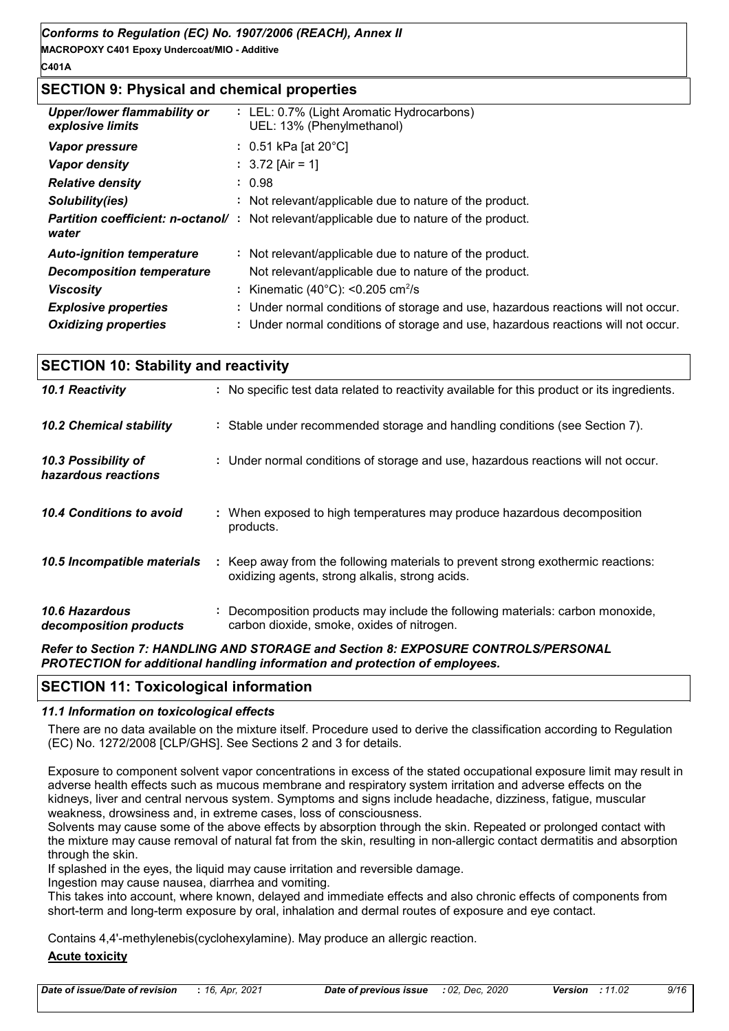#### **C401A**

#### **SECTION 9: Physical and chemical properties**

| <b>Upper/lower flammability or</b><br>explosive limits | : LEL: 0.7% (Light Aromatic Hydrocarbons)<br>UEL: 13% (Phenylmethanol)                           |
|--------------------------------------------------------|--------------------------------------------------------------------------------------------------|
| <b>Vapor pressure</b>                                  | : $0.51$ kPa [at 20 $^{\circ}$ C]                                                                |
| Vapor density                                          | : $3.72$ [Air = 1]                                                                               |
| <b>Relative density</b>                                | : 0.98                                                                                           |
| Solubility(ies)                                        | : Not relevant/applicable due to nature of the product.                                          |
| water                                                  | <b>Partition coefficient: n-octanol/</b> : Not relevant/applicable due to nature of the product. |
| <b>Auto-ignition temperature</b>                       | : Not relevant/applicable due to nature of the product.                                          |
| <b>Decomposition temperature</b>                       | Not relevant/applicable due to nature of the product.                                            |
| <b>Viscosity</b>                                       | : Kinematic (40 $^{\circ}$ C): <0.205 cm <sup>2</sup> /s                                         |
| <b>Explosive properties</b>                            | : Under normal conditions of storage and use, hazardous reactions will not occur.                |
| <b>Oxidizing properties</b>                            | : Under normal conditions of storage and use, hazardous reactions will not occur.                |

| <b>SECTION 10: Stability and reactivity</b>     |                                                                                                                                     |  |  |  |
|-------------------------------------------------|-------------------------------------------------------------------------------------------------------------------------------------|--|--|--|
| 10.1 Reactivity                                 | : No specific test data related to reactivity available for this product or its ingredients.                                        |  |  |  |
| <b>10.2 Chemical stability</b>                  | : Stable under recommended storage and handling conditions (see Section 7).                                                         |  |  |  |
| 10.3 Possibility of<br>hazardous reactions      | : Under normal conditions of storage and use, hazardous reactions will not occur.                                                   |  |  |  |
| 10.4 Conditions to avoid                        | : When exposed to high temperatures may produce hazardous decomposition<br>products.                                                |  |  |  |
| 10.5 Incompatible materials                     | : Keep away from the following materials to prevent strong exothermic reactions:<br>oxidizing agents, strong alkalis, strong acids. |  |  |  |
| <b>10.6 Hazardous</b><br>decomposition products | Decomposition products may include the following materials: carbon monoxide,<br>carbon dioxide, smoke, oxides of nitrogen.          |  |  |  |

#### *Refer to Section 7: HANDLING AND STORAGE and Section 8: EXPOSURE CONTROLS/PERSONAL PROTECTION for additional handling information and protection of employees.*

#### **SECTION 11: Toxicological information**

#### *11.1 Information on toxicological effects*

There are no data available on the mixture itself. Procedure used to derive the classification according to Regulation (EC) No. 1272/2008 [CLP/GHS]. See Sections 2 and 3 for details.

Exposure to component solvent vapor concentrations in excess of the stated occupational exposure limit may result in adverse health effects such as mucous membrane and respiratory system irritation and adverse effects on the kidneys, liver and central nervous system. Symptoms and signs include headache, dizziness, fatigue, muscular weakness, drowsiness and, in extreme cases, loss of consciousness.

Solvents may cause some of the above effects by absorption through the skin. Repeated or prolonged contact with the mixture may cause removal of natural fat from the skin, resulting in non-allergic contact dermatitis and absorption through the skin.

If splashed in the eyes, the liquid may cause irritation and reversible damage.

Ingestion may cause nausea, diarrhea and vomiting.

This takes into account, where known, delayed and immediate effects and also chronic effects of components from short-term and long-term exposure by oral, inhalation and dermal routes of exposure and eye contact.

Contains 4,4'-methylenebis(cyclohexylamine). May produce an allergic reaction.

#### **Acute toxicity**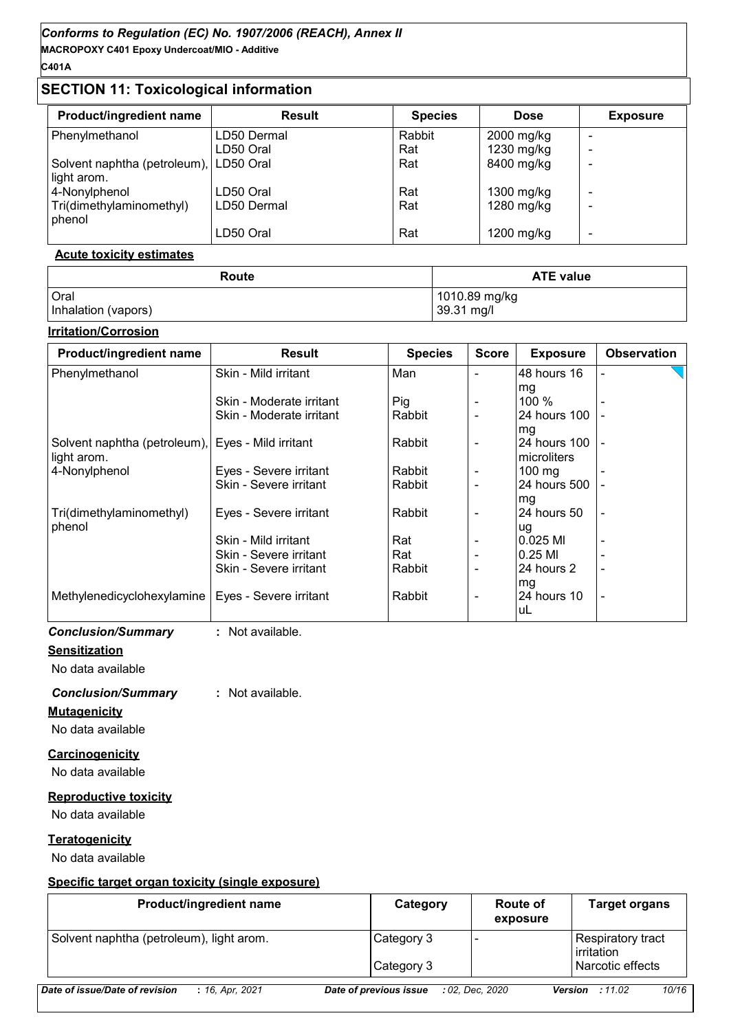**MACROPOXY C401 Epoxy Undercoat/MIO - Additive C401A**

### **SECTION 11: Toxicological information**

| <b>Product/ingredient name</b>         | <b>Result</b> | <b>Species</b> | <b>Dose</b> | <b>Exposure</b> |
|----------------------------------------|---------------|----------------|-------------|-----------------|
| Phenylmethanol                         | LD50 Dermal   | Rabbit         | 2000 mg/kg  |                 |
|                                        | LD50 Oral     | Rat            | 1230 mg/kg  | -               |
| Solvent naphtha (petroleum), LD50 Oral |               | Rat            | 8400 mg/kg  |                 |
| light arom.                            |               |                |             |                 |
| 4-Nonylphenol                          | LD50 Oral     | Rat            | 1300 mg/kg  | -               |
| Tri(dimethylaminomethyl)<br>phenol     | LD50 Dermal   | Rat            | 1280 mg/kg  |                 |
|                                        | LD50 Oral     | Rat            | 1200 mg/kg  | -               |

#### **Acute toxicity estimates**

| Route               | <b>ATE value</b> |  |  |
|---------------------|------------------|--|--|
| Oral                | 1010.89 mg/kg    |  |  |
| Inhalation (vapors) | 39.31 mg/l       |  |  |

#### **Irritation/Corrosion**

| <b>Product/ingredient name</b>                      | <b>Result</b>            | <b>Species</b> | <b>Score</b>             | <b>Exposure</b>  | <b>Observation</b>       |
|-----------------------------------------------------|--------------------------|----------------|--------------------------|------------------|--------------------------|
| Phenylmethanol                                      | Skin - Mild irritant     | Man            |                          | 48 hours 16      |                          |
|                                                     |                          |                |                          | mg               |                          |
|                                                     | Skin - Moderate irritant | Pig            | $\overline{\phantom{a}}$ | 100 $%$          |                          |
|                                                     | Skin - Moderate irritant | Rabbit         | $\overline{\phantom{a}}$ | 24 hours 100     |                          |
|                                                     |                          |                |                          | mg               |                          |
| Solvent naphtha (petroleum), Eyes - Mild irritant   |                          | Rabbit         | $\overline{\phantom{a}}$ | 24 hours 100  -  |                          |
| light arom.                                         |                          |                |                          | microliters      |                          |
| 4-Nonylphenol                                       | Eyes - Severe irritant   | Rabbit         | $\overline{\phantom{a}}$ | $100 \text{ mg}$ |                          |
|                                                     | Skin - Severe irritant   | Rabbit         |                          | 24 hours 500     |                          |
|                                                     |                          |                |                          | mg               |                          |
| Tri(dimethylaminomethyl)                            | Eyes - Severe irritant   | Rabbit         | $\overline{\phantom{a}}$ | l24 hours 50     |                          |
| phenol                                              |                          |                |                          | lug              |                          |
|                                                     | Skin - Mild irritant     | Rat            |                          | 10.025 MI        |                          |
|                                                     | Skin - Severe irritant   | Rat            | $\overline{\phantom{a}}$ | 10.25 MI         |                          |
|                                                     | Skin - Severe irritant   | Rabbit         | $\qquad \qquad -$        | l24 hours 2      | $\overline{\phantom{a}}$ |
|                                                     |                          |                |                          | mg               |                          |
| Methylenedicyclohexylamine   Eyes - Severe irritant |                          | Rabbit         | $\overline{\phantom{a}}$ | 24 hours 10      |                          |
|                                                     |                          |                |                          | luL              |                          |

*Conclusion/Summary* **:** Not available.

#### **Sensitization**

No data available

#### *Conclusion/Summary* **:** Not available.

#### **Mutagenicity**

No data available

#### **Carcinogenicity**

No data available

#### **Reproductive toxicity**

No data available

#### **Teratogenicity**

No data available

#### **Specific target organ toxicity (single exposure)**

| <b>Product/ingredient name</b>                    | Category               | <b>Route of</b><br>exposure | <b>Target organs</b>                     |
|---------------------------------------------------|------------------------|-----------------------------|------------------------------------------|
| Solvent naphtha (petroleum), light arom.          | Category 3             |                             | Respiratory tract<br><b>l</b> irritation |
|                                                   | Category 3             |                             | Narcotic effects                         |
| Date of issue/Date of revision<br>: 16, Apr, 2021 | Date of previous issue | : 02. Dec. 2020             | 10/16<br><b>Version</b> : 11.02          |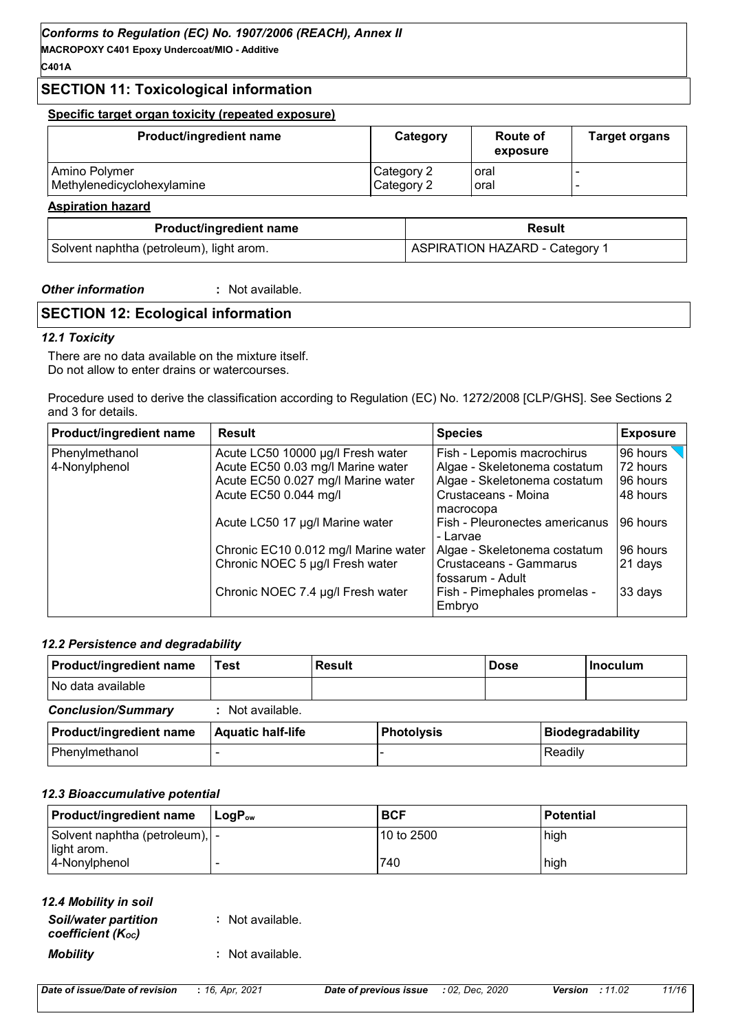**MACROPOXY C401 Epoxy Undercoat/MIO - Additive**

#### **C401A**

#### **SECTION 11: Toxicological information**

#### **Specific target organ toxicity (repeated exposure)**

| <b>Product/ingredient name</b> | Category   | <b>Route of</b><br>exposure | <b>Target organs</b> |
|--------------------------------|------------|-----------------------------|----------------------|
| Amino Polymer                  | Category 2 | l oral                      |                      |
| Methylenedicyclohexylamine     | Category 2 | l oral                      |                      |
| <b>Aspiration hazard</b>       |            |                             |                      |

| <b>Product/ingredient name</b>           | <b>Result</b>                         |  |  |
|------------------------------------------|---------------------------------------|--|--|
| Solvent naphtha (petroleum), light arom. | <b>ASPIRATION HAZARD - Category 1</b> |  |  |

#### *Other information* **:** : Not available.

## **SECTION 12: Ecological information**

#### *12.1 Toxicity*

There are no data available on the mixture itself. Do not allow to enter drains or watercourses.

Procedure used to derive the classification according to Regulation (EC) No. 1272/2008 [CLP/GHS]. See Sections 2 and 3 for details.

| Product/ingredient name | <b>Result</b>                        | <b>Species</b>                             | <b>Exposure</b> |
|-------------------------|--------------------------------------|--------------------------------------------|-----------------|
| Phenylmethanol          | Acute LC50 10000 µg/l Fresh water    | Fish - Lepomis macrochirus                 | 96 hours        |
| 4-Nonylphenol           | Acute EC50 0.03 mg/l Marine water    | Algae - Skeletonema costatum               | 72 hours        |
|                         | Acute EC50 0.027 mg/l Marine water   | Algae - Skeletonema costatum               | 96 hours        |
|                         | Acute EC50 0.044 mg/l                | Crustaceans - Moina                        | 48 hours        |
|                         |                                      | macrocopa                                  |                 |
|                         | Acute LC50 17 µg/l Marine water      | Fish - Pleuronectes americanus<br>- Larvae | 96 hours        |
|                         | Chronic EC10 0.012 mg/l Marine water | Algae - Skeletonema costatum               | 96 hours        |
|                         | Chronic NOEC 5 µg/l Fresh water      | Crustaceans - Gammarus<br>fossarum - Adult | 21 days         |
|                         | Chronic NOEC 7.4 µg/l Fresh water    | Fish - Pimephales promelas -<br>Embryo     | 33 days         |

#### *12.2 Persistence and degradability*

| <b>Product/ingredient name</b> | Test                     | <b>Result</b> |                   | <b>Dose</b> |         | ∣Inoculum               |
|--------------------------------|--------------------------|---------------|-------------------|-------------|---------|-------------------------|
| No data available              |                          |               |                   |             |         |                         |
| <b>Conclusion/Summary</b>      | Not available.           |               |                   |             |         |                         |
| <b>Product/ingredient name</b> | <b>Aquatic half-life</b> |               | <b>Photolysis</b> |             |         | <b>Biodegradability</b> |
| Phenylmethanol                 |                          |               |                   |             | Readily |                         |

#### *12.3 Bioaccumulative potential*

| <b>Product/ingredient name</b>                 | $\mathsf{LoaP}_\mathsf{ow}$ | <b>BCF</b>  | <b>Potential</b> |
|------------------------------------------------|-----------------------------|-------------|------------------|
| Solvent naphtha (petroleum),  -<br>light arom. |                             | l10 to 2500 | high             |
| 4-Nonylphenol                                  |                             | 740         | high             |

| 12.4 Mobility in soil |
|-----------------------|
|-----------------------|

| <b>Soil/water partition</b><br>coefficient (Koc) | : Not available. |
|--------------------------------------------------|------------------|
| <b>Mobility</b>                                  | : Not available. |

| Date of issue/Date of revision |  |  | : 16, Apr, 202 |  |
|--------------------------------|--|--|----------------|--|
|--------------------------------|--|--|----------------|--|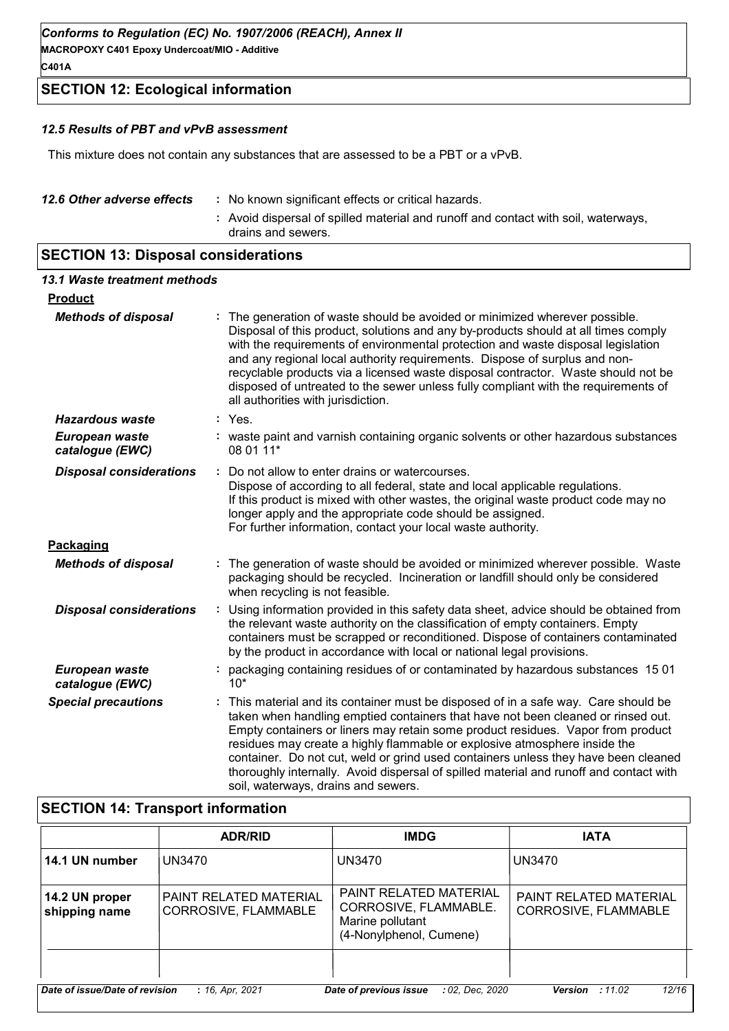**MACROPOXY C401 Epoxy Undercoat/MIO - Additive C401A**

#### **SECTION 12: Ecological information**

#### *12.5 Results of PBT and vPvB assessment*

This mixture does not contain any substances that are assessed to be a PBT or a vPvB.

| 12.6 Other adverse effects | : No known significant effects or critical hazards.                                                      |
|----------------------------|----------------------------------------------------------------------------------------------------------|
|                            | : Avoid dispersal of spilled material and runoff and contact with soil, waterways,<br>drains and sewers. |

### **SECTION 13: Disposal considerations**

| 13.1 Waste treatment methods      |                                                                                                                                                                                                                                                                                                                                                                                                                                                                                                                                                              |
|-----------------------------------|--------------------------------------------------------------------------------------------------------------------------------------------------------------------------------------------------------------------------------------------------------------------------------------------------------------------------------------------------------------------------------------------------------------------------------------------------------------------------------------------------------------------------------------------------------------|
| <b>Product</b>                    |                                                                                                                                                                                                                                                                                                                                                                                                                                                                                                                                                              |
| <b>Methods of disposal</b>        | The generation of waste should be avoided or minimized wherever possible.<br>Disposal of this product, solutions and any by-products should at all times comply<br>with the requirements of environmental protection and waste disposal legislation<br>and any regional local authority requirements. Dispose of surplus and non-<br>recyclable products via a licensed waste disposal contractor. Waste should not be<br>disposed of untreated to the sewer unless fully compliant with the requirements of<br>all authorities with jurisdiction.           |
| <b>Hazardous waste</b>            | $:$ Yes.                                                                                                                                                                                                                                                                                                                                                                                                                                                                                                                                                     |
| European waste<br>catalogue (EWC) | : waste paint and varnish containing organic solvents or other hazardous substances<br>08 01 11*                                                                                                                                                                                                                                                                                                                                                                                                                                                             |
| <b>Disposal considerations</b>    | Do not allow to enter drains or watercourses.<br>Dispose of according to all federal, state and local applicable regulations.<br>If this product is mixed with other wastes, the original waste product code may no<br>longer apply and the appropriate code should be assigned.<br>For further information, contact your local waste authority.                                                                                                                                                                                                             |
| Packaging                         |                                                                                                                                                                                                                                                                                                                                                                                                                                                                                                                                                              |
| <b>Methods of disposal</b>        | The generation of waste should be avoided or minimized wherever possible. Waste<br>packaging should be recycled. Incineration or landfill should only be considered<br>when recycling is not feasible.                                                                                                                                                                                                                                                                                                                                                       |
| <b>Disposal considerations</b>    | Using information provided in this safety data sheet, advice should be obtained from<br>the relevant waste authority on the classification of empty containers. Empty<br>containers must be scrapped or reconditioned. Dispose of containers contaminated<br>by the product in accordance with local or national legal provisions.                                                                                                                                                                                                                           |
| European waste<br>catalogue (EWC) | packaging containing residues of or contaminated by hazardous substances 1501<br>$10*$                                                                                                                                                                                                                                                                                                                                                                                                                                                                       |
| <b>Special precautions</b>        | This material and its container must be disposed of in a safe way. Care should be<br>taken when handling emptied containers that have not been cleaned or rinsed out.<br>Empty containers or liners may retain some product residues. Vapor from product<br>residues may create a highly flammable or explosive atmosphere inside the<br>container. Do not cut, weld or grind used containers unless they have been cleaned<br>thoroughly internally. Avoid dispersal of spilled material and runoff and contact with<br>soil, waterways, drains and sewers. |

### **SECTION 14: Transport information**

|                                                                                                                              | <b>ADR/RID</b>                                        | <b>IMDG</b>                                                                                           | <b>IATA</b>                                    |  |  |  |
|------------------------------------------------------------------------------------------------------------------------------|-------------------------------------------------------|-------------------------------------------------------------------------------------------------------|------------------------------------------------|--|--|--|
| 14.1 UN number                                                                                                               | UN3470                                                | UN3470                                                                                                | UN3470                                         |  |  |  |
| 14.2 UN proper<br>shipping name                                                                                              | <b>PAINT RELATED MATERIAL</b><br>CORROSIVE, FLAMMABLE | <b>PAINT RELATED MATERIAL</b><br>CORROSIVE, FLAMMABLE.<br>Marine pollutant<br>(4-Nonylphenol, Cumene) | PAINT RELATED MATERIAL<br>CORROSIVE, FLAMMABLE |  |  |  |
|                                                                                                                              |                                                       |                                                                                                       |                                                |  |  |  |
| Date of issue/Date of revision<br>: 16, Apr, 2021<br>12/16<br>Date of previous issue<br>: 02. Dec. 2020<br>:11.02<br>Version |                                                       |                                                                                                       |                                                |  |  |  |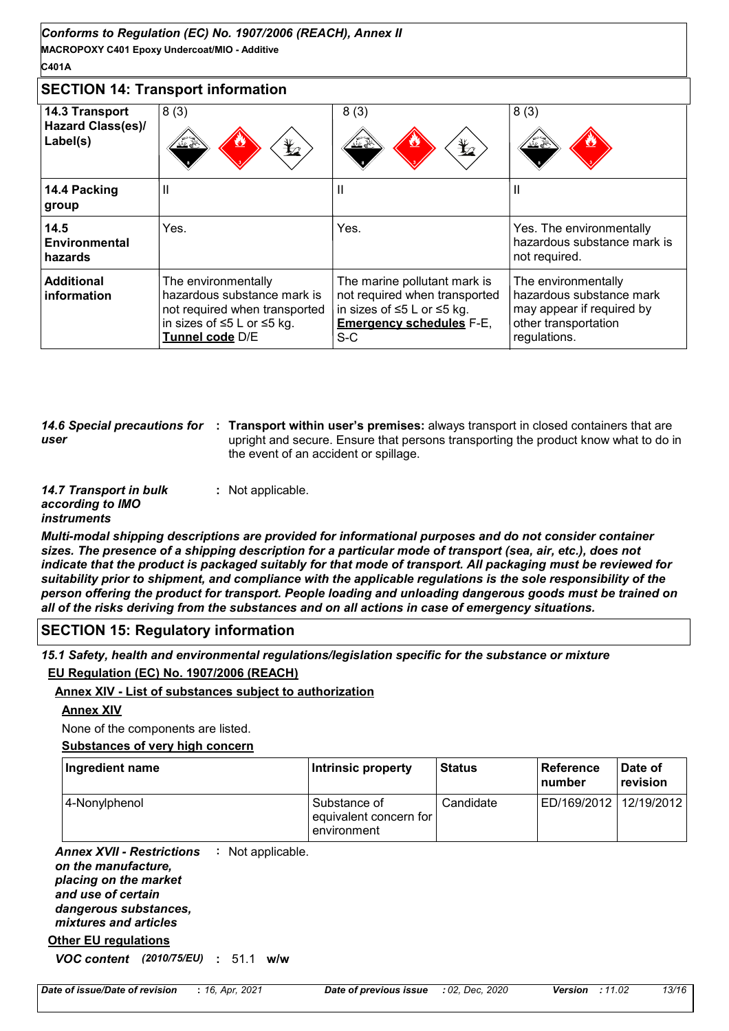#### **C401A**

#### **SECTION 14: Transport information**

| 14.3 Transport<br><b>Hazard Class(es)/</b><br>Label(s) | 8(3)<br>$\bigstar$<br>丝卷                                                                                                             | 8(3)<br>$\bigstar$<br>丝丝                                                                                                                            | 8(3)<br>坐坐                                                                                                           |
|--------------------------------------------------------|--------------------------------------------------------------------------------------------------------------------------------------|-----------------------------------------------------------------------------------------------------------------------------------------------------|----------------------------------------------------------------------------------------------------------------------|
| 14.4 Packing<br>group                                  | Ш                                                                                                                                    | Ш                                                                                                                                                   |                                                                                                                      |
| 14.5<br>Environmental<br>hazards                       | Yes.                                                                                                                                 | Yes.                                                                                                                                                | Yes. The environmentally<br>hazardous substance mark is<br>not required.                                             |
| <b>Additional</b><br>information                       | The environmentally<br>hazardous substance mark is<br>not required when transported<br>in sizes of ≤5 L or ≤5 kg.<br>Tunnel code D/E | The marine pollutant mark is<br>not required when transported<br>in sizes of $\leq$ 5 L or $\leq$ 5 kg.<br><b>Emergency schedules F-E,</b><br>$S-C$ | The environmentally<br>hazardous substance mark<br>may appear if required by<br>other transportation<br>regulations. |

*user*

14.6 Special precautions for : Transport within user's premises: always transport in closed containers that are upright and secure. Ensure that persons transporting the product know what to do in the event of an accident or spillage.

*14.7 Transport in bulk according to IMO instruments* **:** Not applicable.

*Multi-modal shipping descriptions are provided for informational purposes and do not consider container sizes. The presence of a shipping description for a particular mode of transport (sea, air, etc.), does not indicate that the product is packaged suitably for that mode of transport. All packaging must be reviewed for suitability prior to shipment, and compliance with the applicable regulations is the sole responsibility of the person offering the product for transport. People loading and unloading dangerous goods must be trained on all of the risks deriving from the substances and on all actions in case of emergency situations.*

#### **SECTION 15: Regulatory information**

*15.1 Safety, health and environmental regulations/legislation specific for the substance or mixture*

#### **EU Regulation (EC) No. 1907/2006 (REACH)**

**Annex XIV - List of substances subject to authorization**

#### **Annex XIV**

None of the components are listed.

#### **Substances of very high concern**

| Ingredient name | Intrinsic property                                      | <b>Status</b> | l Reference<br>number    | l Date of<br><b>revision</b> |
|-----------------|---------------------------------------------------------|---------------|--------------------------|------------------------------|
| 4-Nonylphenol   | Substance of<br>equivalent concern for  <br>environment | Candidate     | ED/169/2012   12/19/2012 |                              |

Annex XVII - Restrictions : Not applicable. *on the manufacture, placing on the market and use of certain dangerous substances, mixtures and articles*

#### **Other EU regulations**

*VOC content (2010/75/EU)* **:** 51.1 **w/w**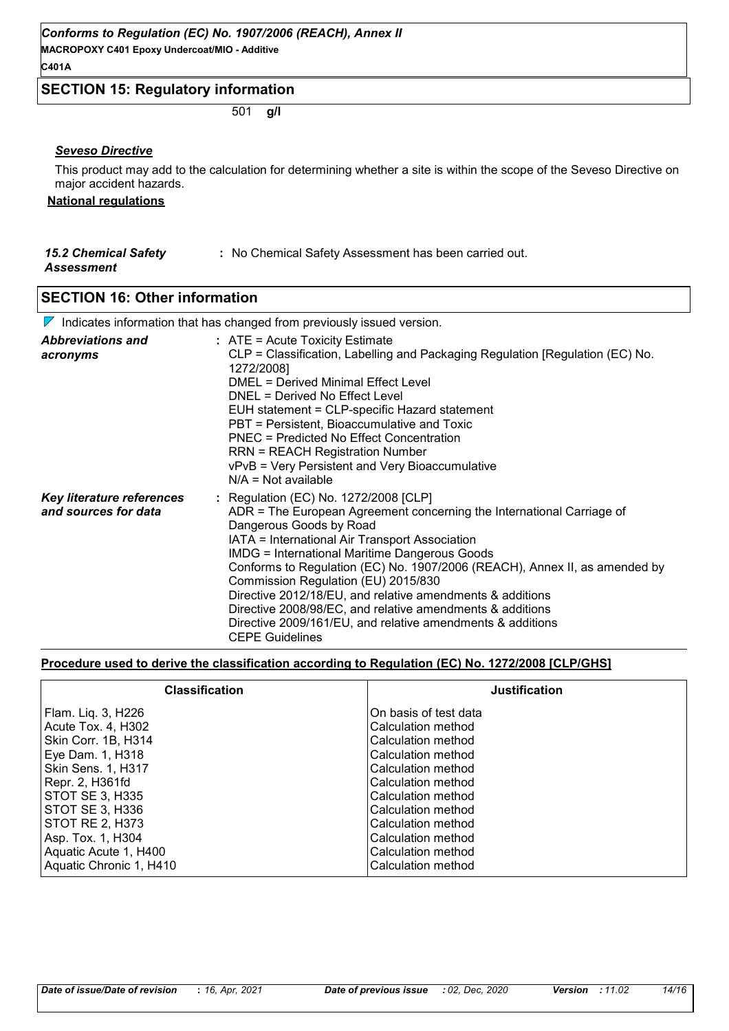**MACROPOXY C401 Epoxy Undercoat/MIO - Additive**

#### **C401A**

#### **SECTION 15: Regulatory information**

501 **g/l**

#### *Seveso Directive*

This product may add to the calculation for determining whether a site is within the scope of the Seveso Directive on major accident hazards.

#### **National regulations**

#### *15.2 Chemical Safety Assessment* **:** No Chemical Safety Assessment has been carried out.

**SECTION 16: Other information**

#### Indicates information that has changed from previously issued version.

|                                                   | <u>r indicates information that has changed from previously issued version.</u>                                                                                                                                                                                                                                                                                                                                                                                                                                                                                                            |
|---------------------------------------------------|--------------------------------------------------------------------------------------------------------------------------------------------------------------------------------------------------------------------------------------------------------------------------------------------------------------------------------------------------------------------------------------------------------------------------------------------------------------------------------------------------------------------------------------------------------------------------------------------|
| <b>Abbreviations and</b><br>acronyms              | $:$ ATE = Acute Toxicity Estimate<br>CLP = Classification, Labelling and Packaging Regulation [Regulation (EC) No.<br>1272/2008]<br><b>DMEL = Derived Minimal Effect Level</b><br>DNEL = Derived No Effect Level<br>EUH statement = CLP-specific Hazard statement<br>PBT = Persistent, Bioaccumulative and Toxic<br><b>PNEC = Predicted No Effect Concentration</b><br><b>RRN = REACH Registration Number</b><br>vPvB = Very Persistent and Very Bioaccumulative<br>$N/A = Not available$                                                                                                  |
| Key literature references<br>and sources for data | : Regulation (EC) No. 1272/2008 [CLP]<br>ADR = The European Agreement concerning the International Carriage of<br>Dangerous Goods by Road<br>IATA = International Air Transport Association<br><b>IMDG = International Maritime Dangerous Goods</b><br>Conforms to Regulation (EC) No. 1907/2006 (REACH), Annex II, as amended by<br>Commission Regulation (EU) 2015/830<br>Directive 2012/18/EU, and relative amendments & additions<br>Directive 2008/98/EC, and relative amendments & additions<br>Directive 2009/161/EU, and relative amendments & additions<br><b>CEPE Guidelines</b> |

#### **Procedure used to derive the classification according to Regulation (EC) No. 1272/2008 [CLP/GHS]**

| <b>Classification</b>     | <b>Justification</b>  |
|---------------------------|-----------------------|
| Flam. Liq. 3, H226        | On basis of test data |
| Acute Tox. 4, H302        | Calculation method    |
| Skin Corr. 1B, H314       | Calculation method    |
| Eye Dam. 1, H318          | Calculation method    |
| <b>Skin Sens. 1, H317</b> | Calculation method    |
| Repr. 2, H361fd           | Calculation method    |
| STOT SE 3, H335           | Calculation method    |
| STOT SE 3, H336           | Calculation method    |
| STOT RE 2, H373           | Calculation method    |
| Asp. Tox. 1, H304         | Calculation method    |
| Aquatic Acute 1, H400     | Calculation method    |
| Aquatic Chronic 1, H410   | Calculation method    |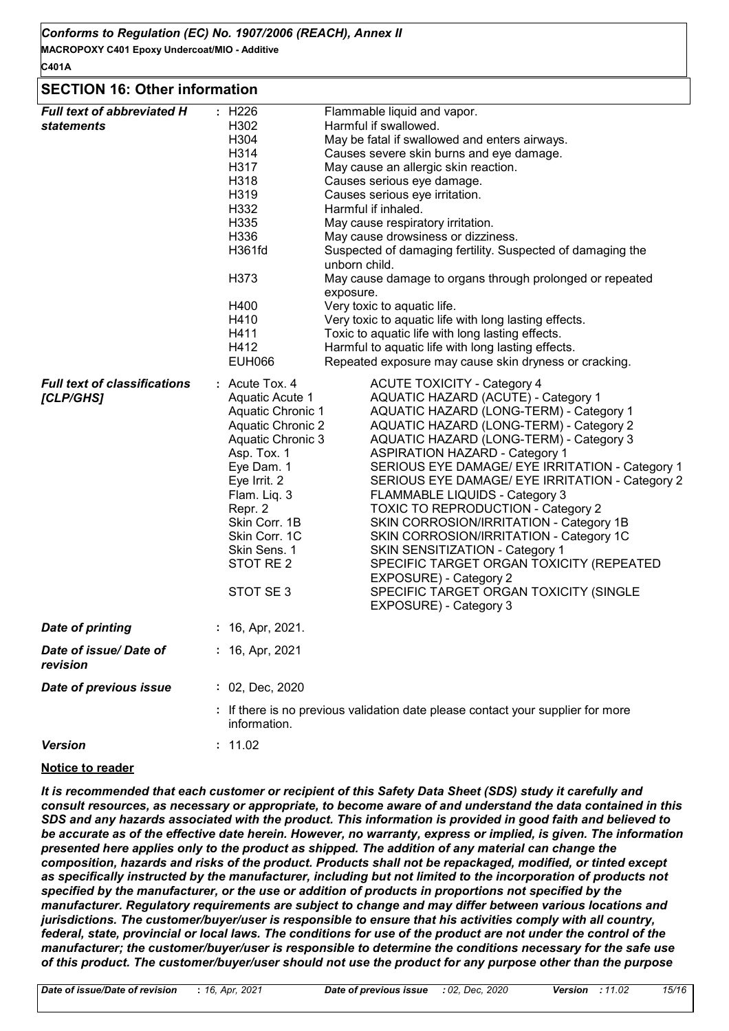**MACROPOXY C401 Epoxy Undercoat/MIO - Additive C401A**

#### **SECTION 16: Other information**

| <b>Full text of abbreviated H</b><br><b>statements</b><br><b>Full text of classifications</b><br>[CLP/GHS] | : H226<br>H302<br>H304<br>H314<br>H317<br>H318<br>H319<br>H332<br>H335<br>H336<br>H361fd<br>H373<br>H400<br>H410<br>H411<br>H412<br><b>EUH066</b><br>: Acute Tox. 4<br>Aquatic Acute 1<br><b>Aquatic Chronic 1</b><br><b>Aquatic Chronic 2</b><br>Aquatic Chronic 3<br>Asp. Tox. 1<br>Eye Dam. 1<br>Eye Irrit. 2<br>Flam. Liq. 3<br>Repr. 2<br>Skin Corr. 1B<br>Skin Corr. 1C<br>Skin Sens. 1<br>STOT RE 2<br>STOT SE3 | Flammable liquid and vapor.<br>Harmful if swallowed.<br>May be fatal if swallowed and enters airways.<br>Causes severe skin burns and eye damage.<br>May cause an allergic skin reaction.<br>Causes serious eye damage.<br>Causes serious eye irritation.<br>Harmful if inhaled.<br>May cause respiratory irritation.<br>May cause drowsiness or dizziness.<br>Suspected of damaging fertility. Suspected of damaging the<br>unborn child.<br>May cause damage to organs through prolonged or repeated<br>exposure.<br>Very toxic to aquatic life.<br>Very toxic to aquatic life with long lasting effects.<br>Toxic to aquatic life with long lasting effects.<br>Harmful to aquatic life with long lasting effects.<br>Repeated exposure may cause skin dryness or cracking.<br><b>ACUTE TOXICITY - Category 4</b><br>AQUATIC HAZARD (ACUTE) - Category 1<br>AQUATIC HAZARD (LONG-TERM) - Category 1<br>AQUATIC HAZARD (LONG-TERM) - Category 2<br>AQUATIC HAZARD (LONG-TERM) - Category 3<br><b>ASPIRATION HAZARD - Category 1</b><br>SERIOUS EYE DAMAGE/ EYE IRRITATION - Category 1<br>SERIOUS EYE DAMAGE/ EYE IRRITATION - Category 2<br>FLAMMABLE LIQUIDS - Category 3<br><b>TOXIC TO REPRODUCTION - Category 2</b><br>SKIN CORROSION/IRRITATION - Category 1B<br>SKIN CORROSION/IRRITATION - Category 1C<br>SKIN SENSITIZATION - Category 1<br>SPECIFIC TARGET ORGAN TOXICITY (REPEATED<br>EXPOSURE) - Category 2<br>SPECIFIC TARGET ORGAN TOXICITY (SINGLE<br>EXPOSURE) - Category 3 |  |  |
|------------------------------------------------------------------------------------------------------------|------------------------------------------------------------------------------------------------------------------------------------------------------------------------------------------------------------------------------------------------------------------------------------------------------------------------------------------------------------------------------------------------------------------------|-----------------------------------------------------------------------------------------------------------------------------------------------------------------------------------------------------------------------------------------------------------------------------------------------------------------------------------------------------------------------------------------------------------------------------------------------------------------------------------------------------------------------------------------------------------------------------------------------------------------------------------------------------------------------------------------------------------------------------------------------------------------------------------------------------------------------------------------------------------------------------------------------------------------------------------------------------------------------------------------------------------------------------------------------------------------------------------------------------------------------------------------------------------------------------------------------------------------------------------------------------------------------------------------------------------------------------------------------------------------------------------------------------------------------------------------------------------------------------------------------|--|--|
| <b>Date of printing</b>                                                                                    | : 16, Apr, 2021.                                                                                                                                                                                                                                                                                                                                                                                                       |                                                                                                                                                                                                                                                                                                                                                                                                                                                                                                                                                                                                                                                                                                                                                                                                                                                                                                                                                                                                                                                                                                                                                                                                                                                                                                                                                                                                                                                                                               |  |  |
| Date of issue/ Date of<br>revision                                                                         | : 16, Apr, 2021                                                                                                                                                                                                                                                                                                                                                                                                        |                                                                                                                                                                                                                                                                                                                                                                                                                                                                                                                                                                                                                                                                                                                                                                                                                                                                                                                                                                                                                                                                                                                                                                                                                                                                                                                                                                                                                                                                                               |  |  |
| Date of previous issue                                                                                     | : 02, Dec, 2020                                                                                                                                                                                                                                                                                                                                                                                                        |                                                                                                                                                                                                                                                                                                                                                                                                                                                                                                                                                                                                                                                                                                                                                                                                                                                                                                                                                                                                                                                                                                                                                                                                                                                                                                                                                                                                                                                                                               |  |  |
|                                                                                                            | information.                                                                                                                                                                                                                                                                                                                                                                                                           | : If there is no previous validation date please contact your supplier for more                                                                                                                                                                                                                                                                                                                                                                                                                                                                                                                                                                                                                                                                                                                                                                                                                                                                                                                                                                                                                                                                                                                                                                                                                                                                                                                                                                                                               |  |  |
| <b>Version</b>                                                                                             | : 11.02                                                                                                                                                                                                                                                                                                                                                                                                                |                                                                                                                                                                                                                                                                                                                                                                                                                                                                                                                                                                                                                                                                                                                                                                                                                                                                                                                                                                                                                                                                                                                                                                                                                                                                                                                                                                                                                                                                                               |  |  |

#### **Notice to reader**

*It is recommended that each customer or recipient of this Safety Data Sheet (SDS) study it carefully and consult resources, as necessary or appropriate, to become aware of and understand the data contained in this SDS and any hazards associated with the product. This information is provided in good faith and believed to be accurate as of the effective date herein. However, no warranty, express or implied, is given. The information presented here applies only to the product as shipped. The addition of any material can change the composition, hazards and risks of the product. Products shall not be repackaged, modified, or tinted except*  as specifically instructed by the manufacturer, including but not limited to the incorporation of products not *specified by the manufacturer, or the use or addition of products in proportions not specified by the manufacturer. Regulatory requirements are subject to change and may differ between various locations and jurisdictions. The customer/buyer/user is responsible to ensure that his activities comply with all country, federal, state, provincial or local laws. The conditions for use of the product are not under the control of the manufacturer; the customer/buyer/user is responsible to determine the conditions necessary for the safe use of this product. The customer/buyer/user should not use the product for any purpose other than the purpose*